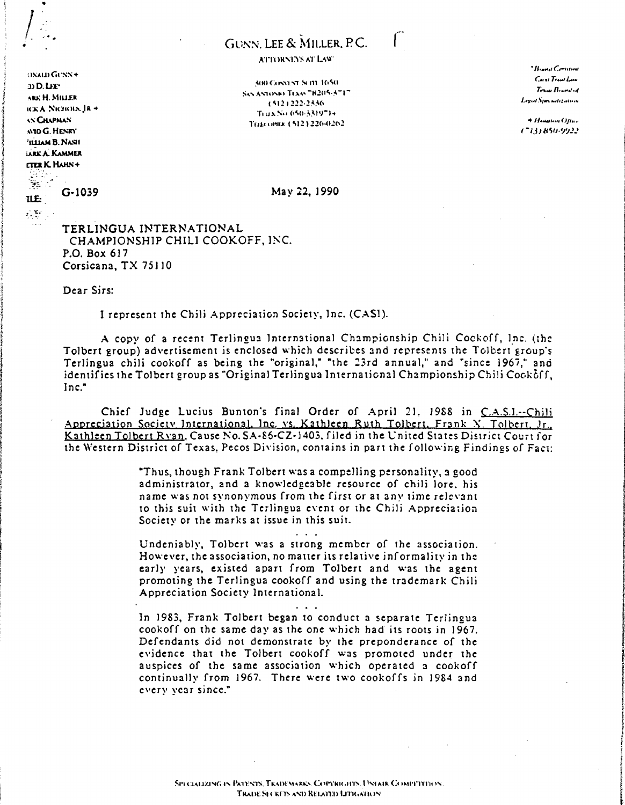## GUNN, LEE & MILLER, P.C.

## ATTORNEYS AT LAW

300 CONTACT SUIT 1650.

 $0x$ am Gu $x$ s $+$  $20$  D. LEP ARK H. MILLER **ICKA NICHOLN IR +** *AN CHAPMAN* **M10 G. HENRY** THIAM B. NASH **LARK A. KAMMER** ETER K HAHN+ 

## G-1039

ILE:  $\mathcal{L}^{\text{L}}$  . SAN ANTONIO TEXAS 78205-5717 15121222-2336 Trux No.650-5319714 Тентория (512) 226-0262.

\* Home Central Carol Travi Law  $T_{\text{CMB}}$   $B_{\text{Lend}}$ Legal Specialization

+ Hometon Office (713) 850-9922

May 22, 1990

TERLINGUA INTERNATIONAL CHAMPIONSHIP CHILI COOKOFF, INC. P.O. Box 617 Corsicana, TX 75110

Dear Sirs:

I represent the Chili Appreciation Society, Inc. (CASI).

A copy of a recent Terlingua International Championship Chili Cookoff, Inc. (the Tolbert group) advertisement is enclosed which describes and represents the Tolbert group's Terlingua chili cookoff as being the "original," "the 23rd annual," and "since 1967," and identifies the Tolbert group as "Original Terlingua International Championship Chili Cookoff. Inc."

Chief Judge Lucius Bunton's final Order of April 21, 1988 in C.A.S.I.--Chili Appreciation Society International, Inc. vs. Kathleen Ruth Tolbert, Frank X. Tolbert, Jr., Kathleen Tolbert Ryan, Cause No. SA-86-CZ-1403, filed in the United States District Court for the Western District of Texas, Pecos Division, contains in part the following Findings of Fact:

> "Thus, though Frank Tolbert was a compelling personality, a good administrator, and a knowledgeable resource of chili lore, his name was not synonymous from the first or at any time relevant to this suit with the Terlingua event or the Chili Appreciation Society or the marks at issue in this suit.

> Undeniably, Tolbert was a strong member of the association. However, the association, no matter its relative informality in the early years, existed apart from Tolbert and was the agent promoting the Terlingua cookoff and using the trademark Chili Appreciation Society International.

> In 1983, Frank Tolbert began to conduct a separate Terlingua cookoff on the same day as the one which had its roots in 1967. Defendants did not demonstrate by the preponderance of the evidence that the Tolbert cookoff was promoted under the auspices of the same association which operated a cookoff continually from 1967. There were two cookoffs in 1984 and every vear since."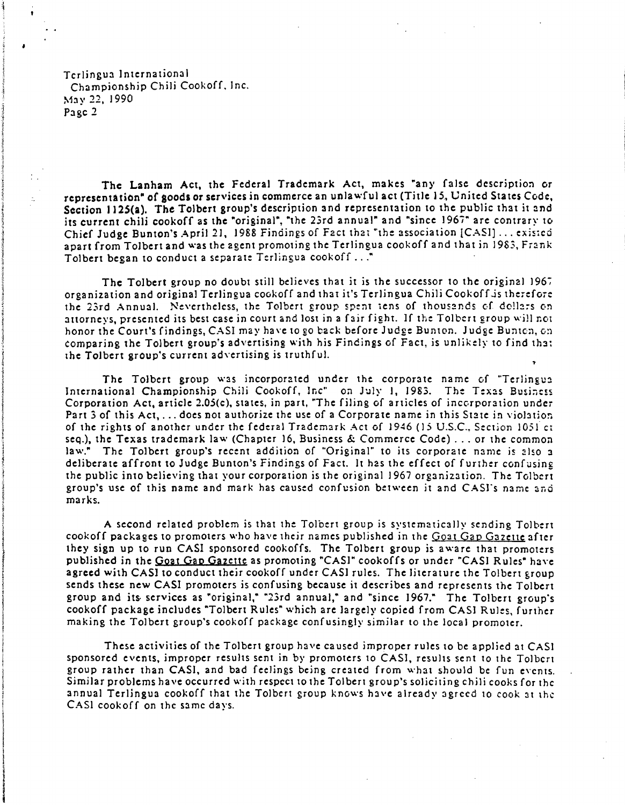Terlingua ]nternational Championship Chili Cookoff. Inc. May 22, 1990 Page 2

The Lanham Act, the Federal Trademark Act, makes "any false description or representation" of goods or services in commerce an unlawful act (Title 15, United States Code, Section 1125(a). The Tolbert group's description and representation to the public that it and its current chili cookoff as the "original", "the 23rd annual" and "since 1967" are contrary to Chief Judge Bunton's April 21, 1988 Findings of Fact that "the association [CASI]... existed apart from Tolbert and was the agent promoting the Terlingua cook off and that in 1983, Frank Tolbert began to conduct a separate Terlingua cook of  $f$ ..."

The Tolbert group no doubt still believes that it is the successor to the original 1967 organization and original Terlingua cook off and that it's Terlingua Chili Cookoff-is therefore the 23rd Annual. Nevertheless, the Tolbert group spent tens of thousands of dollars on attorneys, presented its best case in court and lost in a fair fight. If the Tolbert group will not honor the Court's findings, CASI may have to go back before Judge Bunton. Judge Bunton, on comparing the Tolbert group's advertising with his Findings of Fact, is unlikely to find that the Tolbert group's current advertising is truthful.

The Tolbert group was incorporated under the corporate name of "Terlingua International Championship Chili Cookoff, Inc" on July 1, 1983. The Texas Business Corporation Act, article 2.05(c), states, in part, "The filing of articles of incorporation under Part 3 of this Act, ... does not authorize the use of a Corporate name in this State in violation of the rights of another under the federal Trademark Act of 1946 (15 U.S.c., Section 1051 ct seq.), the Texas trademark law (Chapter 16, Business & Commerce Code) ... or the common law." The Tolbert group's recent addition of "Original" to its corporate name is also a deliberate affront to Judge Bunton's Findings of Fact. It has the effect of further confusing the public into believing that your corporation is the original 1967 organization. The Tolbert group's use of this name and mark has caused confusion between it and CASI's name and marks.

A second related problem is that the Tolbert group is systematically sending Tolbert cookoff packages to promoters who have their names published in the Goat Gap Gazette after they sign up to run CASI sponsored cookoffs. The Tolbert group is aware that promoters published in the Goat Gap Gazette as promoting "CASI" cookoffs or under "CASI Rules" have agreed with CASl to conduct their cookoff under CAS] rules. The literature the Tolbert group sends these new CAS! promoters is confusing because it describes and represents the Tolbert group and its services as "original," "23rd annual," and "since 1967." The Tolbert group's cookoff package includes "Tolbert Rules" which are largely copied from CASl Rules, further making the Tolbert group's cookoff package confusingly similar to the local promoter.

These activities of the Tolbert group have caused improper rules to be applied at CASI sponsored events, improper results sent in by promoters to CASl, results sent to the Tolbert group rather than CASI, and bad feelings being created from what should be fun events. Similar problems have occurred with respect to the Tolbert group's soliciting chili cooks for the annual Terlingua cookoff that the Tolbert group knows have already agreed to cook at the CASI cookoff on the same days.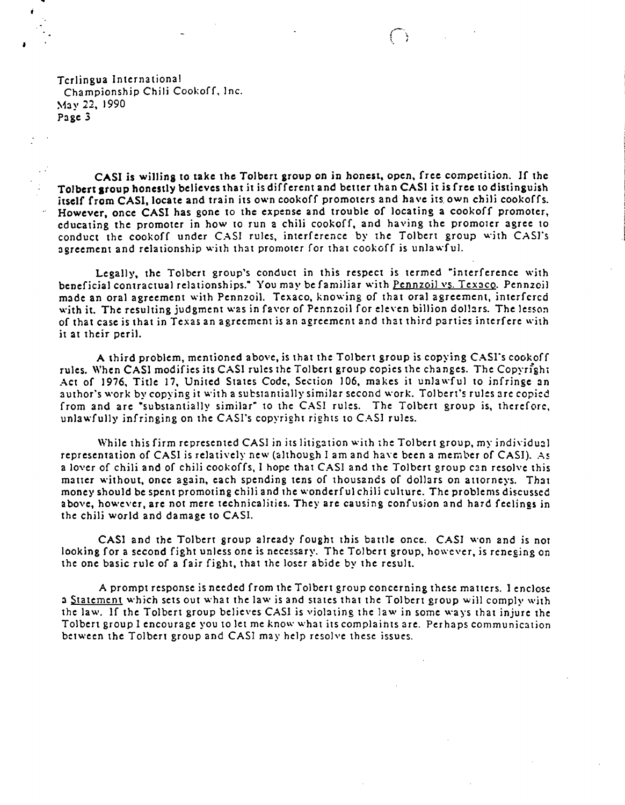Terlingua International Championship Chili Cookoff, Inc. ~1a y 22, 1990 Page 3

CASI is willins to take the Tolbert group on in honest, open, free competition. If the Tolbert stoup honestly believes that it is different and better than CASI it is free to distinguish itself from CASI, locate and train its own cookoff promoters and have its own chili cookoffs. However, once CASI has gone to the expense and trouble of locating a cookoff promoter, educating the promoter in how to run a chili cookoff, and having the promoter agree to conduct the cookoff under CAS1 rules, interference by the Tolbert group with CASJ"s agreement and relationship with that promoter for that cook off is unlawful.

Legally, the Tolbert group's conduct in this respect is termed "interference with beneficial contractual relationships." You may be familiar with Pennzoil vs. Tex3cQ. Pennzoil made an oral agreement with Pennzoil. Texaco, knowing of that oral agreement, interfercd with it. The resulting judgment was in favor of Pennzoil for eleven billion dollars. The lesson of that case is that in Texas an agreement is an agreement and that third parties interfere with it 3t their periJ.

A third problem, mentioned above, is that the Tolbert group is copying CASl"s cook off rules. When CASI modifies its CASI rules the Tolbert group copies the changes. The Copyright Act of 1976, Title 17, United States Code, Section 106, makes it unlawful to infringe an author's work by copying it with a substantially similar second work. Tolbert's rules are copied from and are "substantially similar" to the CAS1 rules. The Tolbert group is, therefore, unlawfully infringing on the CASI's copyright rights to CASI rules.

While this firm represented CASI in its litigation with the Tolbert group, my individual representation of CASI is relatively new (although I am and have been a member of CASI). As a lover of chili and of chili cookoffs, I hope that CASI and the Tolbert group can resolve this matter without, once again, each spending tens of thousands of dollars on attorneys. That money should be spent promoting chili and the wonderful chili culture. The problems discussed above, however, are not mere technicalities. They are causing confusion and hard feelings in the chili world and damagc to CASI.

CASI and the Tolbert group already fought this battle once. CASI won and is not looking for a second fight unless one is necessary. The Tolbert group, however, is reneging on the one basic rule of a fair fight, that the loser abide by the result.

A prompt response is needed from the Tolbert group concerning these matters. } enclose a Statement which sets out what the law is and states that the Tolbert group will comply with the law. If the Tolbert group believes CASI is violating the law in some ways that injure the Tolbert group I encourage you to let me know what its complaints are. Perhaps communication between the Tolbert group and CASI may help resolve these issues.